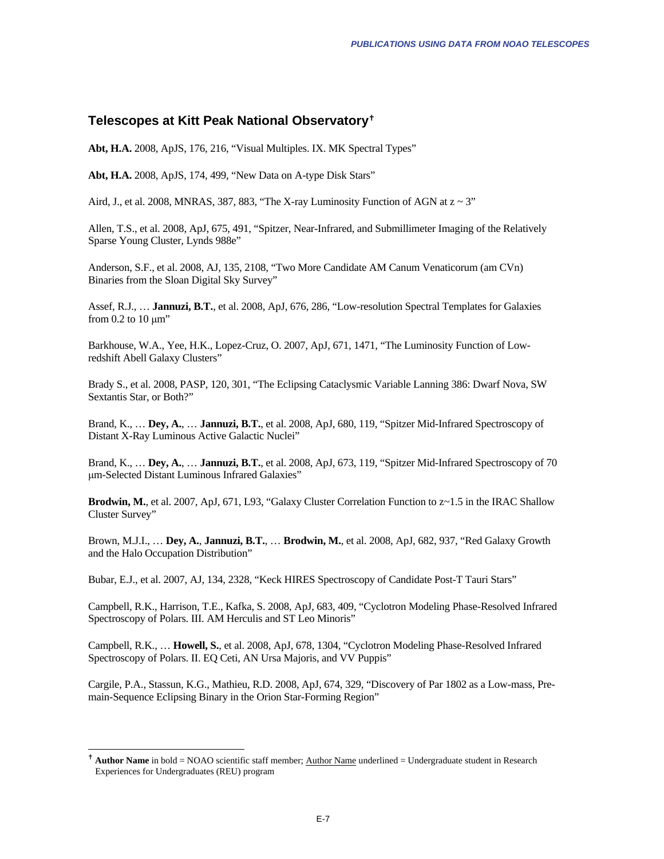## <span id="page-0-0"></span>**Telescopes at Kitt Peak National Observatory**[g](#page-0-0)

**Abt, H.A.** 2008, ApJS, 176, 216, "Visual Multiples. IX. MK Spectral Types"

**Abt, H.A.** 2008, ApJS, 174, 499, "New Data on A-type Disk Stars"

Aird, J., et al. 2008, MNRAS, 387, 883, "The X-ray Luminosity Function of AGN at  $z \sim 3$ "

Allen, T.S., et al. 2008, ApJ, 675, 491, "Spitzer, Near-Infrared, and Submillimeter Imaging of the Relatively Sparse Young Cluster, Lynds 988e"

Anderson, S.F., et al. 2008, AJ, 135, 2108, "Two More Candidate AM Canum Venaticorum (am CVn) Binaries from the Sloan Digital Sky Survey"

Assef, R.J., … **Jannuzi, B.T.**, et al. 2008, ApJ, 676, 286, "Low-resolution Spectral Templates for Galaxies from 0.2 to 10 μm"

Barkhouse, W.A., Yee, H.K., Lopez-Cruz, O. 2007, ApJ, 671, 1471, "The Luminosity Function of Lowredshift Abell Galaxy Clusters"

Brady S., et al. 2008, PASP, 120, 301, "The Eclipsing Cataclysmic Variable Lanning 386: Dwarf Nova, SW Sextantis Star, or Both?"

Brand, K., … **Dey, A.**, … **Jannuzi, B.T.**, et al. 2008, ApJ, 680, 119, "Spitzer Mid-Infrared Spectroscopy of Distant X-Ray Luminous Active Galactic Nuclei"

Brand, K., … **Dey, A.**, … **Jannuzi, B.T.**, et al. 2008, ApJ, 673, 119, "Spitzer Mid-Infrared Spectroscopy of 70 μm-Selected Distant Luminous Infrared Galaxies"

**Brodwin, M.**, et al. 2007, ApJ, 671, L93, "Galaxy Cluster Correlation Function to z~1.5 in the IRAC Shallow Cluster Survey"

Brown, M.J.I., … **Dey, A.**, **Jannuzi, B.T.**, … **Brodwin, M.**, et al. 2008, ApJ, 682, 937, "Red Galaxy Growth and the Halo Occupation Distribution"

Bubar, E.J., et al. 2007, AJ, 134, 2328, "Keck HIRES Spectroscopy of Candidate Post-T Tauri Stars"

Campbell, R.K., Harrison, T.E., Kafka, S. 2008, ApJ, 683, 409, "Cyclotron Modeling Phase-Resolved Infrared Spectroscopy of Polars. III. AM Herculis and ST Leo Minoris"

Campbell, R.K., … **Howell, S.**, et al. 2008, ApJ, 678, 1304, "Cyclotron Modeling Phase-Resolved Infrared Spectroscopy of Polars. II. EQ Ceti, AN Ursa Majoris, and VV Puppis"

Cargile, P.A., Stassun, K.G., Mathieu, R.D. 2008, ApJ, 674, 329, "Discovery of Par 1802 as a Low-mass, Premain-Sequence Eclipsing Binary in the Orion Star-Forming Region"

1

<sup>&</sup>lt;sup>†</sup> Author Name in bold = NOAO scientific staff member; Author Name underlined = Undergraduate student in Research Experiences for Undergraduates (REU) program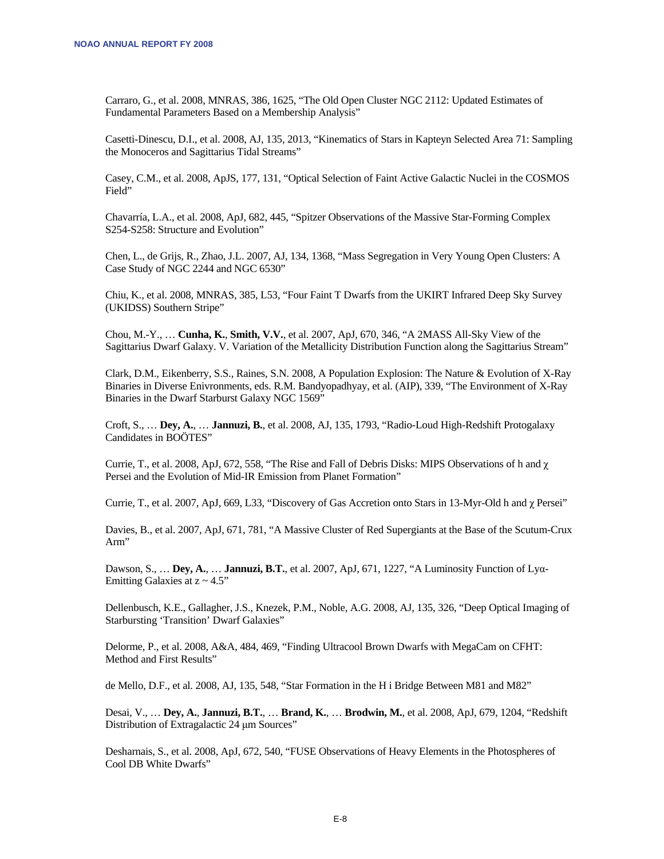Carraro, G., et al. 2008, MNRAS, 386, 1625, "The Old Open Cluster NGC 2112: Updated Estimates of Fundamental Parameters Based on a Membership Analysis"

Casetti-Dinescu, D.I., et al. 2008, AJ, 135, 2013, "Kinematics of Stars in Kapteyn Selected Area 71: Sampling the Monoceros and Sagittarius Tidal Streams"

Casey, C.M., et al. 2008, ApJS, 177, 131, "Optical Selection of Faint Active Galactic Nuclei in the COSMOS Field"

Chavarría, L.A., et al. 2008, ApJ, 682, 445, "Spitzer Observations of the Massive Star-Forming Complex S254-S258: Structure and Evolution"

Chen, L., de Grijs, R., Zhao, J.L. 2007, AJ, 134, 1368, "Mass Segregation in Very Young Open Clusters: A Case Study of NGC 2244 and NGC 6530"

Chiu, K., et al. 2008, MNRAS, 385, L53, "Four Faint T Dwarfs from the UKIRT Infrared Deep Sky Survey (UKIDSS) Southern Stripe"

Chou, M.-Y., … **Cunha, K.**, **Smith, V.V.**, et al. 2007, ApJ, 670, 346, "A 2MASS All-Sky View of the Sagittarius Dwarf Galaxy. V. Variation of the Metallicity Distribution Function along the Sagittarius Stream"

Clark, D.M., Eikenberry, S.S., Raines, S.N. 2008, A Population Explosion: The Nature & Evolution of X-Ray Binaries in Diverse Enivronments, eds. R.M. Bandyopadhyay, et al. (AIP), 339, "The Environment of X-Ray Binaries in the Dwarf Starburst Galaxy NGC 1569"

Croft, S., … **Dey, A.**, … **Jannuzi, B.**, et al. 2008, AJ, 135, 1793, "Radio-Loud High-Redshift Protogalaxy Candidates in BOÖTES"

Currie, T., et al. 2008, ApJ, 672, 558, "The Rise and Fall of Debris Disks: MIPS Observations of h and χ Persei and the Evolution of Mid-IR Emission from Planet Formation"

Currie, T., et al. 2007, ApJ, 669, L33, "Discovery of Gas Accretion onto Stars in 13-Myr-Old h and χ Persei"

Davies, B., et al. 2007, ApJ, 671, 781, "A Massive Cluster of Red Supergiants at the Base of the Scutum-Crux Arm"

Dawson, S., … **Dey, A.**, … **Jannuzi, B.T.**, et al. 2007, ApJ, 671, 1227, "A Luminosity Function of Lyα-Emitting Galaxies at  $z \sim 4.5$ "

Dellenbusch, K.E., Gallagher, J.S., Knezek, P.M., Noble, A.G. 2008, AJ, 135, 326, "Deep Optical Imaging of Starbursting 'Transition' Dwarf Galaxies"

Delorme, P., et al. 2008, A&A, 484, 469, "Finding Ultracool Brown Dwarfs with MegaCam on CFHT: Method and First Results"

de Mello, D.F., et al. 2008, AJ, 135, 548, "Star Formation in the H i Bridge Between M81 and M82"

Desai, V., … **Dey, A.**, **Jannuzi, B.T.**, … **Brand, K.**, … **Brodwin, M.**, et al. 2008, ApJ, 679, 1204, "Redshift Distribution of Extragalactic 24 μm Sources"

Desharnais, S., et al. 2008, ApJ, 672, 540, "FUSE Observations of Heavy Elements in the Photospheres of Cool DB White Dwarfs"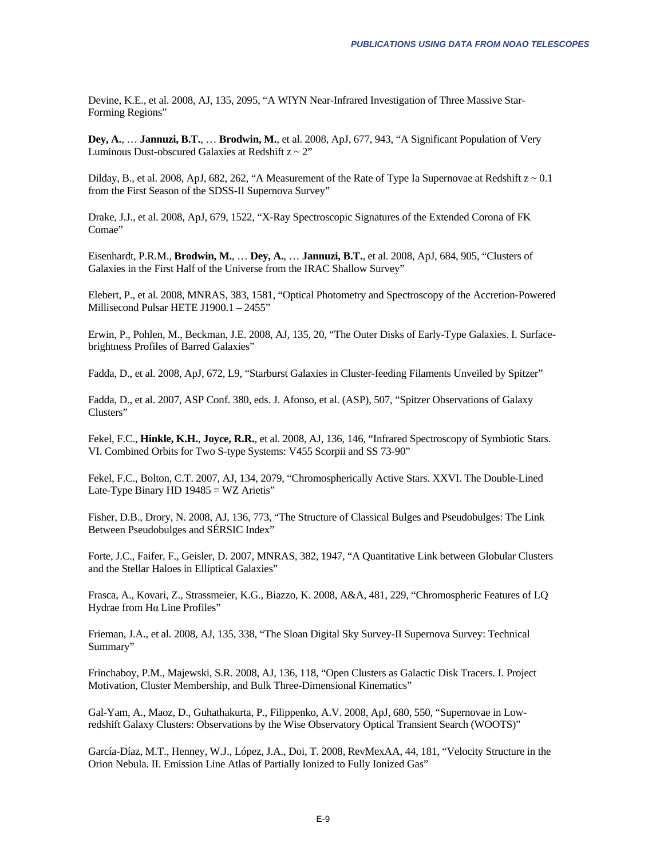Devine, K.E., et al. 2008, AJ, 135, 2095, "A WIYN Near-Infrared Investigation of Three Massive Star-Forming Regions"

**Dey, A.**, … **Jannuzi, B.T.**, … **Brodwin, M.**, et al. 2008, ApJ, 677, 943, "A Significant Population of Very Luminous Dust-obscured Galaxies at Redshift  $z \sim 2$ "

Dilday, B., et al. 2008, ApJ, 682, 262, "A Measurement of the Rate of Type Ia Supernovae at Redshift  $z \sim 0.1$ from the First Season of the SDSS-II Supernova Survey"

Drake, J.J., et al. 2008, ApJ, 679, 1522, "X-Ray Spectroscopic Signatures of the Extended Corona of FK Comae"

Eisenhardt, P.R.M., **Brodwin, M.**, … **Dey, A.**, … **Jannuzi, B.T.**, et al. 2008, ApJ, 684, 905, "Clusters of Galaxies in the First Half of the Universe from the IRAC Shallow Survey"

Elebert, P., et al. 2008, MNRAS, 383, 1581, "Optical Photometry and Spectroscopy of the Accretion-Powered Millisecond Pulsar HETE J1900.1 – 2455"

Erwin, P., Pohlen, M., Beckman, J.E. 2008, AJ, 135, 20, "The Outer Disks of Early-Type Galaxies. I. Surfacebrightness Profiles of Barred Galaxies"

Fadda, D., et al. 2008, ApJ, 672, L9, "Starburst Galaxies in Cluster-feeding Filaments Unveiled by Spitzer"

Fadda, D., et al. 2007, ASP Conf. 380, eds. J. Afonso, et al. (ASP), 507, "Spitzer Observations of Galaxy Clusters"

Fekel, F.C., **Hinkle, K.H.**, **Joyce, R.R.**, et al. 2008, AJ, 136, 146, "Infrared Spectroscopy of Symbiotic Stars. VI. Combined Orbits for Two S-type Systems: V455 Scorpii and SS 73-90"

Fekel, F.C., Bolton, C.T. 2007, AJ, 134, 2079, "Chromospherically Active Stars. XXVI. The Double-Lined Late-Type Binary HD  $19485 = WZ$  Arietis"

Fisher, D.B., Drory, N. 2008, AJ, 136, 773, "The Structure of Classical Bulges and Pseudobulges: The Link Between Pseudobulges and SÉRSIC Index"

Forte, J.C., Faifer, F., Geisler, D. 2007, MNRAS, 382, 1947, "A Quantitative Link between Globular Clusters and the Stellar Haloes in Elliptical Galaxies"

Frasca, A., Kovari, Z., Strassmeier, K.G., Biazzo, K. 2008, A&A, 481, 229, "Chromospheric Features of LQ Hydrae from Hα Line Profiles"

Frieman, J.A., et al. 2008, AJ, 135, 338, "The Sloan Digital Sky Survey-II Supernova Survey: Technical Summary"

Frinchaboy, P.M., Majewski, S.R. 2008, AJ, 136, 118, "Open Clusters as Galactic Disk Tracers. I. Project Motivation, Cluster Membership, and Bulk Three-Dimensional Kinematics"

Gal-Yam, A., Maoz, D., Guhathakurta, P., Filippenko, A.V. 2008, ApJ, 680, 550, "Supernovae in Lowredshift Galaxy Clusters: Observations by the Wise Observatory Optical Transient Search (WOOTS)"

García-Díaz, M.T., Henney, W.J., López, J.A., Doi, T. 2008, RevMexAA, 44, 181, "Velocity Structure in the Orion Nebula. II. Emission Line Atlas of Partially Ionized to Fully Ionized Gas"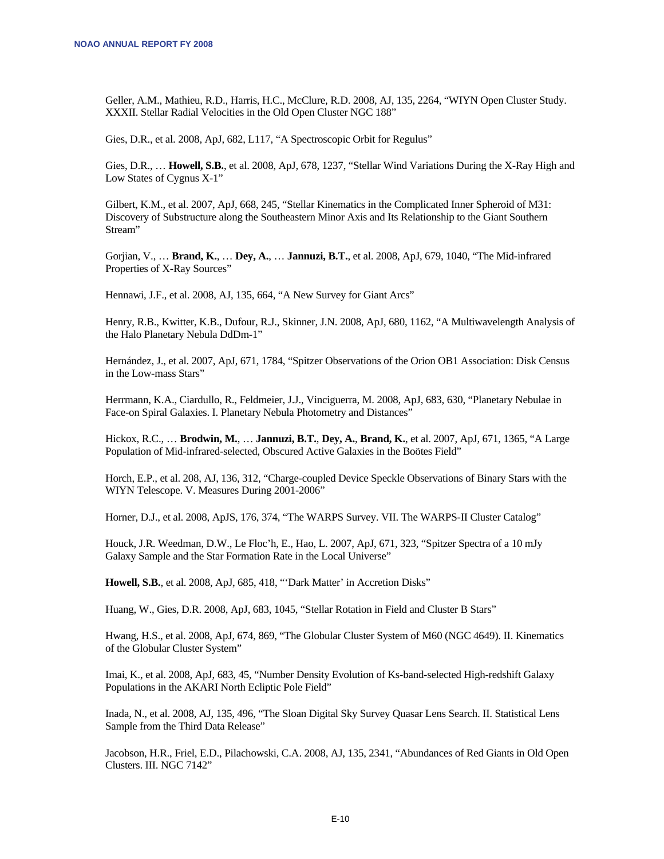Geller, A.M., Mathieu, R.D., Harris, H.C., McClure, R.D. 2008, AJ, 135, 2264, "WIYN Open Cluster Study. XXXII. Stellar Radial Velocities in the Old Open Cluster NGC 188"

Gies, D.R., et al. 2008, ApJ, 682, L117, "A Spectroscopic Orbit for Regulus"

Gies, D.R., … **Howell, S.B.**, et al. 2008, ApJ, 678, 1237, "Stellar Wind Variations During the X-Ray High and Low States of Cygnus X-1"

Gilbert, K.M., et al. 2007, ApJ, 668, 245, "Stellar Kinematics in the Complicated Inner Spheroid of M31: Discovery of Substructure along the Southeastern Minor Axis and Its Relationship to the Giant Southern Stream"

Gorjian, V., … **Brand, K.**, … **Dey, A.**, … **Jannuzi, B.T.**, et al. 2008, ApJ, 679, 1040, "The Mid-infrared Properties of X-Ray Sources"

Hennawi, J.F., et al. 2008, AJ, 135, 664, "A New Survey for Giant Arcs"

Henry, R.B., Kwitter, K.B., Dufour, R.J., Skinner, J.N. 2008, ApJ, 680, 1162, "A Multiwavelength Analysis of the Halo Planetary Nebula DdDm-1"

Hernández, J., et al. 2007, ApJ, 671, 1784, "Spitzer Observations of the Orion OB1 Association: Disk Census in the Low-mass Stars"

Herrmann, K.A., Ciardullo, R., Feldmeier, J.J., Vinciguerra, M. 2008, ApJ, 683, 630, "Planetary Nebulae in Face-on Spiral Galaxies. I. Planetary Nebula Photometry and Distances"

Hickox, R.C., … **Brodwin, M.**, … **Jannuzi, B.T.**, **Dey, A.**, **Brand, K.**, et al. 2007, ApJ, 671, 1365, "A Large Population of Mid-infrared-selected, Obscured Active Galaxies in the Boötes Field"

Horch, E.P., et al. 208, AJ, 136, 312, "Charge-coupled Device Speckle Observations of Binary Stars with the WIYN Telescope. V. Measures During 2001-2006"

Horner, D.J., et al. 2008, ApJS, 176, 374, "The WARPS Survey. VII. The WARPS-II Cluster Catalog"

Houck, J.R. Weedman, D.W., Le Floc'h, E., Hao, L. 2007, ApJ, 671, 323, "Spitzer Spectra of a 10 mJy Galaxy Sample and the Star Formation Rate in the Local Universe"

**Howell, S.B.**, et al. 2008, ApJ, 685, 418, "'Dark Matter' in Accretion Disks"

Huang, W., Gies, D.R. 2008, ApJ, 683, 1045, "Stellar Rotation in Field and Cluster B Stars"

Hwang, H.S., et al. 2008, ApJ, 674, 869, "The Globular Cluster System of M60 (NGC 4649). II. Kinematics of the Globular Cluster System"

Imai, K., et al. 2008, ApJ, 683, 45, "Number Density Evolution of Ks-band-selected High-redshift Galaxy Populations in the AKARI North Ecliptic Pole Field"

Inada, N., et al. 2008, AJ, 135, 496, "The Sloan Digital Sky Survey Quasar Lens Search. II. Statistical Lens Sample from the Third Data Release"

Jacobson, H.R., Friel, E.D., Pilachowski, C.A. 2008, AJ, 135, 2341, "Abundances of Red Giants in Old Open Clusters. III. NGC 7142"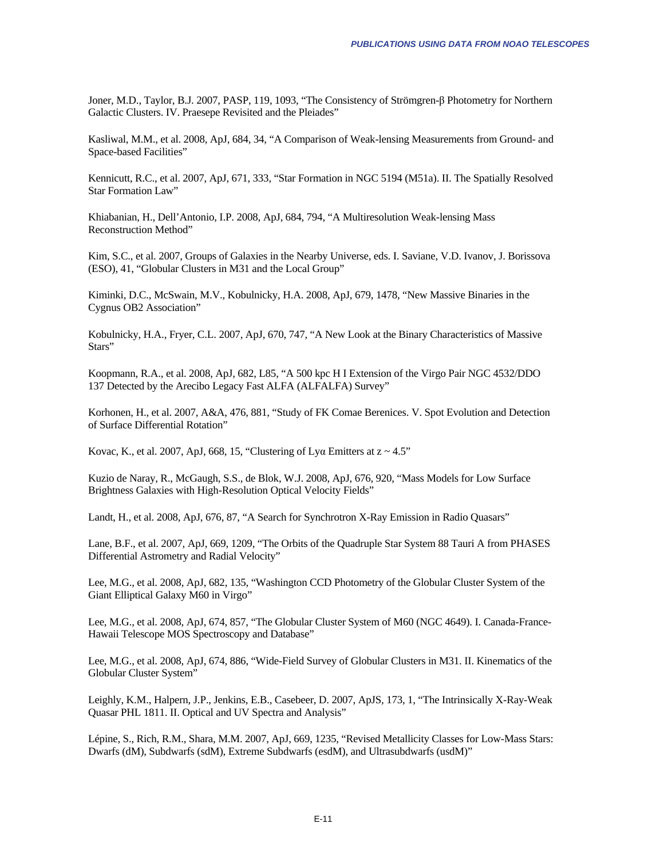Joner, M.D., Taylor, B.J. 2007, PASP, 119, 1093, "The Consistency of Strömgren-β Photometry for Northern Galactic Clusters. IV. Praesepe Revisited and the Pleiades"

Kasliwal, M.M., et al. 2008, ApJ, 684, 34, "A Comparison of Weak-lensing Measurements from Ground- and Space-based Facilities"

Kennicutt, R.C., et al. 2007, ApJ, 671, 333, "Star Formation in NGC 5194 (M51a). II. The Spatially Resolved Star Formation Law"

Khiabanian, H., Dell'Antonio, I.P. 2008, ApJ, 684, 794, "A Multiresolution Weak-lensing Mass Reconstruction Method"

Kim, S.C., et al. 2007, Groups of Galaxies in the Nearby Universe, eds. I. Saviane, V.D. Ivanov, J. Borissova (ESO), 41, "Globular Clusters in M31 and the Local Group"

Kiminki, D.C., McSwain, M.V., Kobulnicky, H.A. 2008, ApJ, 679, 1478, "New Massive Binaries in the Cygnus OB2 Association"

Kobulnicky, H.A., Fryer, C.L. 2007, ApJ, 670, 747, "A New Look at the Binary Characteristics of Massive Stars"

Koopmann, R.A., et al. 2008, ApJ, 682, L85, "A 500 kpc H I Extension of the Virgo Pair NGC 4532/DDO 137 Detected by the Arecibo Legacy Fast ALFA (ALFALFA) Survey"

Korhonen, H., et al. 2007, A&A, 476, 881, "Study of FK Comae Berenices. V. Spot Evolution and Detection of Surface Differential Rotation"

Kovac, K., et al. 2007, ApJ, 668, 15, "Clustering of Ly $\alpha$  Emitters at  $z \sim 4.5$ "

Kuzio de Naray, R., McGaugh, S.S., de Blok, W.J. 2008, ApJ, 676, 920, "Mass Models for Low Surface Brightness Galaxies with High-Resolution Optical Velocity Fields"

Landt, H., et al. 2008, ApJ, 676, 87, "A Search for Synchrotron X-Ray Emission in Radio Quasars"

Lane, B.F., et al. 2007, ApJ, 669, 1209, "The Orbits of the Quadruple Star System 88 Tauri A from PHASES Differential Astrometry and Radial Velocity"

Lee, M.G., et al. 2008, ApJ, 682, 135, "Washington CCD Photometry of the Globular Cluster System of the Giant Elliptical Galaxy M60 in Virgo"

Lee, M.G., et al. 2008, ApJ, 674, 857, "The Globular Cluster System of M60 (NGC 4649). I. Canada-France-Hawaii Telescope MOS Spectroscopy and Database"

Lee, M.G., et al. 2008, ApJ, 674, 886, "Wide-Field Survey of Globular Clusters in M31. II. Kinematics of the Globular Cluster System"

Leighly, K.M., Halpern, J.P., Jenkins, E.B., Casebeer, D. 2007, ApJS, 173, 1, "The Intrinsically X-Ray-Weak Quasar PHL 1811. II. Optical and UV Spectra and Analysis"

Lépine, S., Rich, R.M., Shara, M.M. 2007, ApJ, 669, 1235, "Revised Metallicity Classes for Low-Mass Stars: Dwarfs (dM), Subdwarfs (sdM), Extreme Subdwarfs (esdM), and Ultrasubdwarfs (usdM)"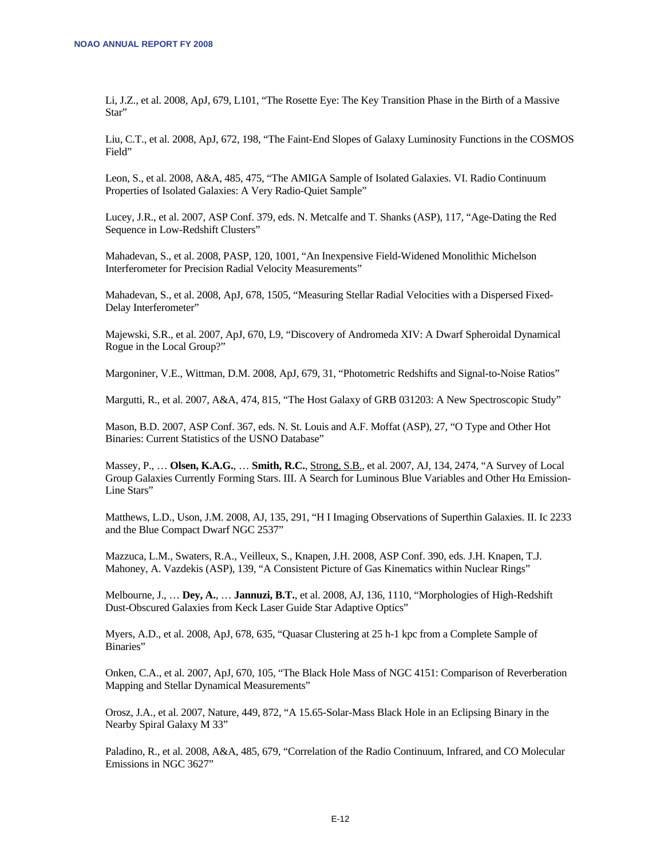Li, J.Z., et al. 2008, ApJ, 679, L101, "The Rosette Eye: The Key Transition Phase in the Birth of a Massive Star"

Liu, C.T., et al. 2008, ApJ, 672, 198, "The Faint-End Slopes of Galaxy Luminosity Functions in the COSMOS Field"

Leon, S., et al. 2008, A&A, 485, 475, "The AMIGA Sample of Isolated Galaxies. VI. Radio Continuum Properties of Isolated Galaxies: A Very Radio-Quiet Sample"

Lucey, J.R., et al. 2007, ASP Conf. 379, eds. N. Metcalfe and T. Shanks (ASP), 117, "Age-Dating the Red Sequence in Low-Redshift Clusters"

Mahadevan, S., et al. 2008, PASP, 120, 1001, "An Inexpensive Field-Widened Monolithic Michelson Interferometer for Precision Radial Velocity Measurements"

Mahadevan, S., et al. 2008, ApJ, 678, 1505, "Measuring Stellar Radial Velocities with a Dispersed Fixed-Delay Interferometer"

Majewski, S.R., et al. 2007, ApJ, 670, L9, "Discovery of Andromeda XIV: A Dwarf Spheroidal Dynamical Rogue in the Local Group?"

Margoniner, V.E., Wittman, D.M. 2008, ApJ, 679, 31, "Photometric Redshifts and Signal-to-Noise Ratios"

Margutti, R., et al. 2007, A&A, 474, 815, "The Host Galaxy of GRB 031203: A New Spectroscopic Study"

Mason, B.D. 2007, ASP Conf. 367, eds. N. St. Louis and A.F. Moffat (ASP), 27, "O Type and Other Hot Binaries: Current Statistics of the USNO Database"

Massey, P., … **Olsen, K.A.G.**, … **Smith, R.C.**, Strong, S.B., et al. 2007, AJ, 134, 2474, "A Survey of Local Group Galaxies Currently Forming Stars. III. A Search for Luminous Blue Variables and Other Hα Emission-Line Stars"

Matthews, L.D., Uson, J.M. 2008, AJ, 135, 291, "H I Imaging Observations of Superthin Galaxies. II. Ic 2233 and the Blue Compact Dwarf NGC 2537"

Mazzuca, L.M., Swaters, R.A., Veilleux, S., Knapen, J.H. 2008, ASP Conf. 390, eds. J.H. Knapen, T.J. Mahoney, A. Vazdekis (ASP), 139, "A Consistent Picture of Gas Kinematics within Nuclear Rings"

Melbourne, J., … **Dey, A.**, … **Jannuzi, B.T.**, et al. 2008, AJ, 136, 1110, "Morphologies of High-Redshift Dust-Obscured Galaxies from Keck Laser Guide Star Adaptive Optics"

Myers, A.D., et al. 2008, ApJ, 678, 635, "Quasar Clustering at 25 h-1 kpc from a Complete Sample of Binaries"

Onken, C.A., et al. 2007, ApJ, 670, 105, "The Black Hole Mass of NGC 4151: Comparison of Reverberation Mapping and Stellar Dynamical Measurements"

Orosz, J.A., et al. 2007, Nature, 449, 872, "A 15.65-Solar-Mass Black Hole in an Eclipsing Binary in the Nearby Spiral Galaxy M 33"

Paladino, R., et al. 2008, A&A, 485, 679, "Correlation of the Radio Continuum, Infrared, and CO Molecular Emissions in NGC 3627"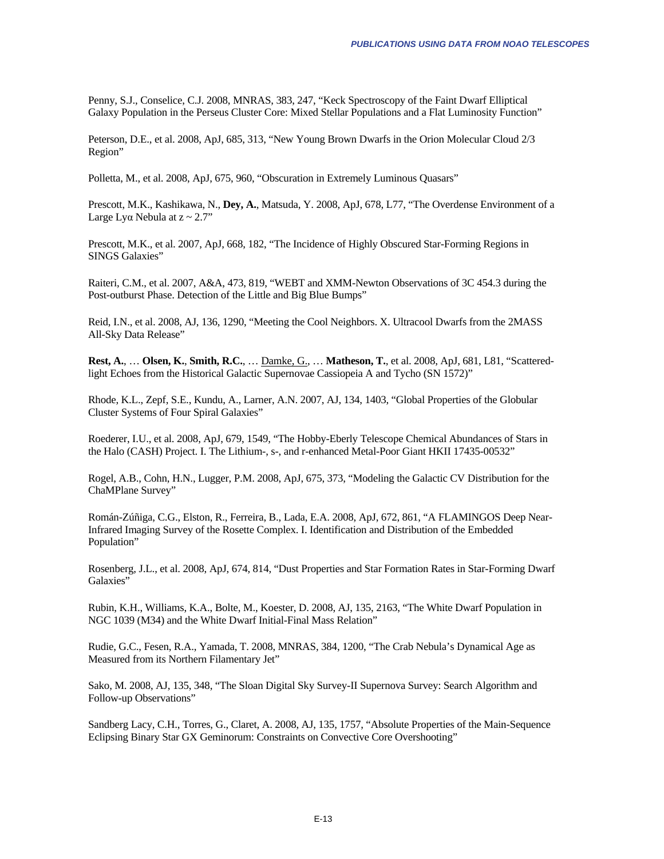Penny, S.J., Conselice, C.J. 2008, MNRAS, 383, 247, "Keck Spectroscopy of the Faint Dwarf Elliptical Galaxy Population in the Perseus Cluster Core: Mixed Stellar Populations and a Flat Luminosity Function"

Peterson, D.E., et al. 2008, ApJ, 685, 313, "New Young Brown Dwarfs in the Orion Molecular Cloud 2/3 Region"

Polletta, M., et al. 2008, ApJ, 675, 960, "Obscuration in Extremely Luminous Quasars"

Prescott, M.K., Kashikawa, N., **Dey, A.**, Matsuda, Y. 2008, ApJ, 678, L77, "The Overdense Environment of a Large Lya Nebula at  $z \sim 2.7$ "

Prescott, M.K., et al. 2007, ApJ, 668, 182, "The Incidence of Highly Obscured Star-Forming Regions in SINGS Galaxies"

Raiteri, C.M., et al. 2007, A&A, 473, 819, "WEBT and XMM-Newton Observations of 3C 454.3 during the Post-outburst Phase. Detection of the Little and Big Blue Bumps"

Reid, I.N., et al. 2008, AJ, 136, 1290, "Meeting the Cool Neighbors. X. Ultracool Dwarfs from the 2MASS All-Sky Data Release"

**Rest, A.**, … **Olsen, K.**, **Smith, R.C.**, … Damke, G., … **Matheson, T.**, et al. 2008, ApJ, 681, L81, "Scatteredlight Echoes from the Historical Galactic Supernovae Cassiopeia A and Tycho (SN 1572)"

Rhode, K.L., Zepf, S.E., Kundu, A., Larner, A.N. 2007, AJ, 134, 1403, "Global Properties of the Globular Cluster Systems of Four Spiral Galaxies"

Roederer, I.U., et al. 2008, ApJ, 679, 1549, "The Hobby-Eberly Telescope Chemical Abundances of Stars in the Halo (CASH) Project. I. The Lithium-, s-, and r-enhanced Metal-Poor Giant HKII 17435-00532"

Rogel, A.B., Cohn, H.N., Lugger, P.M. 2008, ApJ, 675, 373, "Modeling the Galactic CV Distribution for the ChaMPlane Survey"

Román-Zúñiga, C.G., Elston, R., Ferreira, B., Lada, E.A. 2008, ApJ, 672, 861, "A FLAMINGOS Deep Near-Infrared Imaging Survey of the Rosette Complex. I. Identification and Distribution of the Embedded Population"

Rosenberg, J.L., et al. 2008, ApJ, 674, 814, "Dust Properties and Star Formation Rates in Star-Forming Dwarf Galaxies"

Rubin, K.H., Williams, K.A., Bolte, M., Koester, D. 2008, AJ, 135, 2163, "The White Dwarf Population in NGC 1039 (M34) and the White Dwarf Initial-Final Mass Relation"

Rudie, G.C., Fesen, R.A., Yamada, T. 2008, MNRAS, 384, 1200, "The Crab Nebula's Dynamical Age as Measured from its Northern Filamentary Jet"

Sako, M. 2008, AJ, 135, 348, "The Sloan Digital Sky Survey-II Supernova Survey: Search Algorithm and Follow-up Observations"

Sandberg Lacy, C.H., Torres, G., Claret, A. 2008, AJ, 135, 1757, "Absolute Properties of the Main-Sequence Eclipsing Binary Star GX Geminorum: Constraints on Convective Core Overshooting"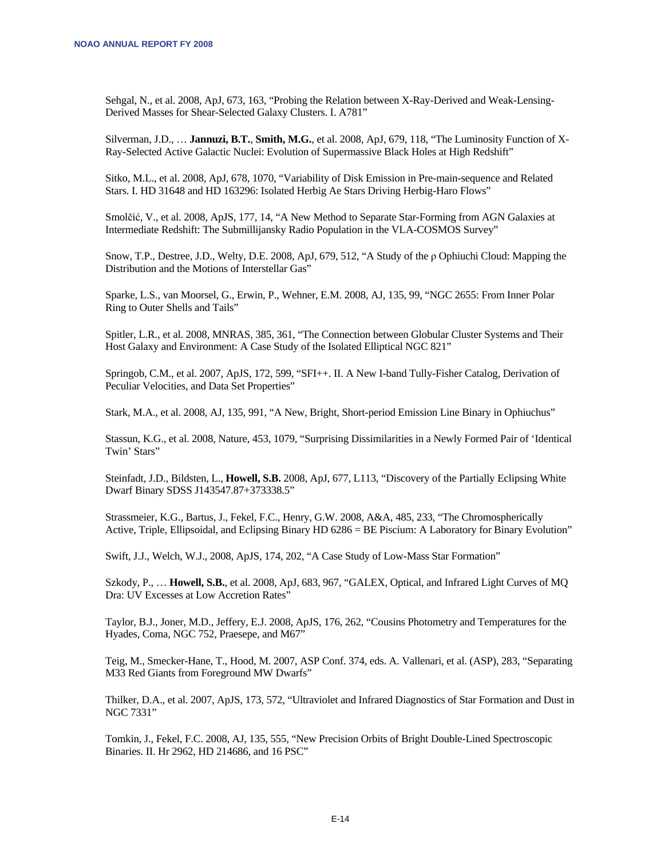Sehgal, N., et al. 2008, ApJ, 673, 163, "Probing the Relation between X-Ray-Derived and Weak-Lensing-Derived Masses for Shear-Selected Galaxy Clusters. I. A781"

Silverman, J.D., … **Jannuzi, B.T.**, **Smith, M.G.**, et al. 2008, ApJ, 679, 118, "The Luminosity Function of X-Ray-Selected Active Galactic Nuclei: Evolution of Supermassive Black Holes at High Redshift"

Sitko, M.L., et al. 2008, ApJ, 678, 1070, "Variability of Disk Emission in Pre-main-sequence and Related Stars. I. HD 31648 and HD 163296: Isolated Herbig Ae Stars Driving Herbig-Haro Flows"

Smolčić, V., et al. 2008, ApJS, 177, 14, "A New Method to Separate Star-Forming from AGN Galaxies at Intermediate Redshift: The Submillijansky Radio Population in the VLA-COSMOS Survey"

Snow, T.P., Destree, J.D., Welty, D.E. 2008, ApJ, 679, 512, "A Study of the ρ Ophiuchi Cloud: Mapping the Distribution and the Motions of Interstellar Gas"

Sparke, L.S., van Moorsel, G., Erwin, P., Wehner, E.M. 2008, AJ, 135, 99, "NGC 2655: From Inner Polar Ring to Outer Shells and Tails"

Spitler, L.R., et al. 2008, MNRAS, 385, 361, "The Connection between Globular Cluster Systems and Their Host Galaxy and Environment: A Case Study of the Isolated Elliptical NGC 821"

Springob, C.M., et al. 2007, ApJS, 172, 599, "SFI++. II. A New I-band Tully-Fisher Catalog, Derivation of Peculiar Velocities, and Data Set Properties"

Stark, M.A., et al. 2008, AJ, 135, 991, "A New, Bright, Short-period Emission Line Binary in Ophiuchus"

Stassun, K.G., et al. 2008, Nature, 453, 1079, "Surprising Dissimilarities in a Newly Formed Pair of 'Identical Twin' Stars"

Steinfadt, J.D., Bildsten, L., **Howell, S.B.** 2008, ApJ, 677, L113, "Discovery of the Partially Eclipsing White Dwarf Binary SDSS J143547.87+373338.5"

Strassmeier, K.G., Bartus, J., Fekel, F.C., Henry, G.W. 2008, A&A, 485, 233, "The Chromospherically Active, Triple, Ellipsoidal, and Eclipsing Binary HD 6286 = BE Piscium: A Laboratory for Binary Evolution"

Swift, J.J., Welch, W.J., 2008, ApJS, 174, 202, "A Case Study of Low-Mass Star Formation"

Szkody, P., … **Howell, S.B.**, et al. 2008, ApJ, 683, 967, "GALEX, Optical, and Infrared Light Curves of MQ Dra: UV Excesses at Low Accretion Rates"

Taylor, B.J., Joner, M.D., Jeffery, E.J. 2008, ApJS, 176, 262, "Cousins Photometry and Temperatures for the Hyades, Coma, NGC 752, Praesepe, and M67"

Teig, M., Smecker-Hane, T., Hood, M. 2007, ASP Conf. 374, eds. A. Vallenari, et al. (ASP), 283, "Separating M33 Red Giants from Foreground MW Dwarfs"

Thilker, D.A., et al. 2007, ApJS, 173, 572, "Ultraviolet and Infrared Diagnostics of Star Formation and Dust in NGC 7331"

Tomkin, J., Fekel, F.C. 2008, AJ, 135, 555, "New Precision Orbits of Bright Double-Lined Spectroscopic Binaries. II. Hr 2962, HD 214686, and 16 PSC"